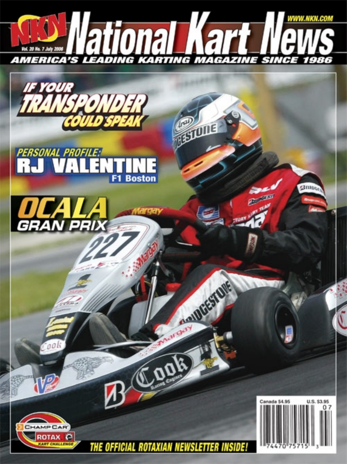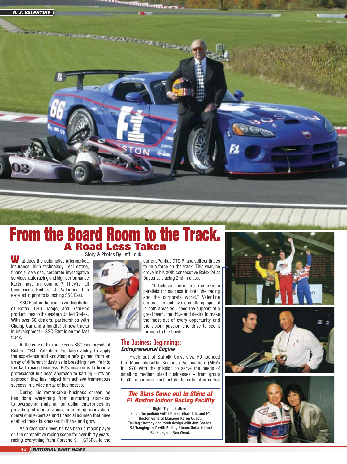

# Story & Photos By Jeff Louk From the Board Room to the Track. A Road Less Taken

W hat does the automotive aftermarket, insurance, high technology, real estate, financial services, corporate investigative services, auto racing and high performance karts have in common? They're all businesses Richard J. Valentine has excelled in prior to launching SSC East.

SSC East is the exclusive distributor of Rotax, CRG, Mogo, and GearBox product lines to the eastern United States. With over 50 dealers, partnerships with Champ Car and a handful of new tracks in development – SSC East is on the fast track.

At the core of this success is SSC East president Richard "RJ" Valentine. His keen ability to apply the experience and knowledge he's gained from an array of different industries is breathing new life into the kart racing business. RJ's mission is to bring a professional business approach to karting – it's an approach that has helped him achieve tremendous success in a wide array of businesses.

During his remarkable business career, he has done everything from nurturing start-ups to overseeing multi-million dollar enterprises by providing strategic vision, marketing innovation, operational expertise and financial acumen that have enabled these businesses to thrive and grow.

As a race car driver, he has been a major player on the competitive racing scene for over thirty years, racing everything from Porsche 911 GT3Rs, to the



current Pontiac GTO.R, and still continues to be a force on the track. This year, he drove in his 20th consecutive Rolex 24 at Daytona, placing 2nd in class.

"I believe there are remarkable parallels for success in both the racing and the corporate world," Valentine states. "To achieve something special in both areas you need the support of a great team, the drive and desire to make the most out of every opportunity and the vision, passion and drive to see it through to the finish."

## The Business Beginnings: **Entrepreneurial Engine**

Fresh out of Suffolk University, RJ founded the Massachusetts Business Association (MBA) in 1970 with the mission to serve the needs of small to medium sized businesses – from group health insurance, real estate to auto aftermarket

## The Stars Come out to Shine at F1 Boston Indoor Racing Facility

Right, Top to bottom: RJ on the podium with Dale Earnhardt Jr. and F1 Boston General Manager Karen Quast. Talking strategy and track design with Jeff Gordon. RJ 'hanging-out' with Rolling Stones Guitarist and Rock Legend Ron Wood.





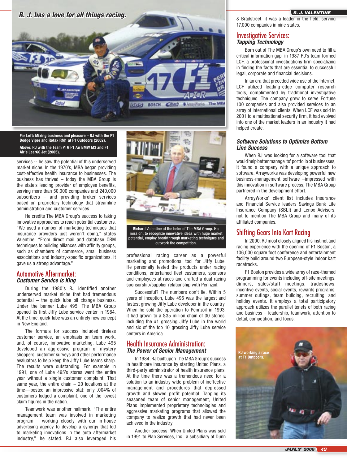

**Far Left: Mixing business and pleasure – RJ with the F1 Dodge Viper and Rotax RM1 at F1 Outdoors (2002). Above: RJ with the Team PTG F1 Air BMW M3 and F1 Air's Lear60 Jet (2005).**

services -- he saw the potential of this underserved market niche. In the 1970's, MBA began providing cost-effective health insurance to businesses. The business has thrived – today the MBA Group is the state's leading provider of employee benefits, serving more than 50,000 companies and 240,000 subscribers – and providing broker services based on proprietary technology that streamline administration and customer services.

He credits The MBA Group's success to taking innovative approaches to reach potential customers. "We used a number of marketing techniques that insurance providers just weren't doing," states Valentine. "From direct mail and database CRM techniques to building alliances with affinity groups, such as chambers of commerce, small business associations and industry-specific organizations. It gave us a strong advantage."

## Automotive Aftermarket: **Customer Service is King**

During the 1980's RJ identified another underserved market niche that had tremendous potential – the quick lube oil change business. Under the banner Lube 495, The MBA Group opened its first Jiffy Lube service center in 1984. At the time, quick-lube was an entirely new concept in New England.

The formula for success included tireless customer service, an emphasis on team work, and, of course, innovative marketing. Lube 495 developed an aggressive program of mystery shoppers, customer surveys and other performance evaluators to help keep the Jiffy Lube teams sharp. The results were outstanding. For example in 1991, one of Lube 495's stores went the entire year without a single customer complaint. That same year, the entire chain  $-20$  locations at the time—posted an impressive stat: only .004% of customers lodged a complaint, one of the lowest claim figures in the nation.

Teamwork was another hallmark. "The entire management team was involved in marketing program – working closely with our in-house advertising agency to develop a synergy that led to marketing innovations in the auto aftermarket industry," he stated. RJ also leveraged his



potential, employ breakthrough marketing techniques and outwork the competition.

professional racing career as a powerful marketing and promotional tool for Jiffy Lube. He personally tested the products under racing conditions, entertained fleet customers, sponsors and employees at races and crafted a dual racing sponsorship/supplier relationship with Pennzoil.

Successful? The numbers don't lie. Within 5 years of inception, Lube 495 was the largest and fastest growing Jiffy Lube developer in the country. When he sold the operation to Pennzoil in 1993, it had grown to a \$35 million chain of 30 stories, including the #1 grossing Jiffy Lube in the world and six of the top 10 grossing Jiffy Lube service centers in America.

## Health Insurance Administration: **The Power of Senior Management**

In 1984, RJ built upon The MBA Group's success in healthcare insurance by starting United Plans, a third-party administrator of health insurance plans. At the time there was a tremendous need for a solution to an industry-wide problem of ineffective management and procedures that depressed growth and slowed profit potential. Tapping its seasoned team of senior management, United Plans implemented proprietary technologies and aggressive marketing programs that allowed the company to realize growth that had never been achieved in the industry.

Another success: When United Plans was sold in 1991 to Plan Services, Inc., a subsidiary of Dunn

& Bradstreet, it was a leader in the field, serving 17,000 companies in nine states.

### Investigative Services: **Tapping Technology**

Born out of The MBA Group's own need to fill a critical information gap, in 1987 RJ's team formed LCF, a professional investigations firm specializing in finding the facts that are essential to successful legal, corporate and financial decisions.

In an era that preceded wide use of the Internet, LCF utilized leading-edge computer research tools, complimented by traditional investigative techniques. The company grew to serve Fortune 100 companies and also provided services to an array of international clients. When LCF was sold in 2001 to a multinational security firm, it had evolved into one of the market leaders in an industry it had helped create.

#### **Software Solutions to Optimize Bottom Line Success**

When RJ was looking for a software tool that would help better manage its' portfolio of businesses, it found a company with a unique approach to software. Arrayworks was developing powerful new business-management software –impressed with this innovation in software process, The MBA Group partnered in the development effort.

ArrayWorks' client list includes Insurance and Financial Service leaders Savings Bank Life Insurance Company (SBLI) and Lenox Advisers, not to mention The MBA Group and many of its affiliated companies.

## Shifting Gears Into Kart Racing

In 2000, RJ most closely aligned his instinct and racing experience with the opening of F1 Boston, a 106,000 square foot conference and entertainment facility build around two European-style indoor kart racetracks.

F1 Boston provides a wide array of race-themed programming for events including off-site meetings, dinners, sales/staff meetings, tradeshows, incentive events, social events, rewards programs, summer outings, team building, recruiting, and holiday events. It employs a total participatory approach utilizes the parallel tenets of both racing and business – leadership, teamwork, attention to detail, competition, and focus.

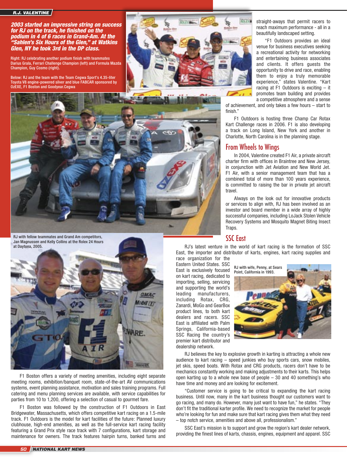#### R.J. VALENTINE

2003 started an impressive string on success for RJ on the track, he finished on the podium in 4 of 6 races in Grand-Am. At the "Sahlen's Six Hours of the Glen," at Watkins Glen, NY he took 3rd in the DP class.

Right: RJ celebrating another podium finish with teammates Darius Grala, Ferrari Challenge Champion (left) and Formula Mazda Champion, Guy Cosmo (right).

Below: RJ and the team with the Team Cegwa Sport's 4.35-liter Toyota V8 engine-powered silver and blue FABCAR sponsored by OzEXE, F1 Boston and Goodyear.Cegwa



straight-aways that permit racers to reach maximum performance - all in a beautifully landscaped setting.

"F1 Outdoors provides an ideal venue for business executives seeking a recreational activity for networking and entertaining business associates and clients. It offers guests the opportunity to drive and race, enabling them to enjoy a truly memorable experience," states Valentine. "Kart racing at F1 Outdoors is exciting – it promotes team building and provides a competitive atmosphere and a sense

of achievement, and only takes a few hours – start to finish."

F1 Outdoors is hosting three Champ Car Rotax Kart Challenge races in 2006. F1 is also developing a track on Long Island, New York and another in Charlotte, North Carolina is in the planning stage.

## From Wheels to Wings

In 2004, Valentine created F1 Air, a private aircraft charter firm with offices in Braintree and New Jersey, in conjunction with Jet Aviation and New World Jet. F1 Air, with a senior management team that has a combined total of more than 100 years experience, is committed to raising the bar in private jet aircraft travel.

Always on the look out for innovative products or services to align with, RJ has been involved as an investor and board member in a wide array of highly successful companies, including LoJack Stolen Vehicle Recovery Systems and Mosquito Magnet Biting Insect Traps.

## SSC East

RJ's latest venture in the world of kart racing is the formation of SSC East, the importer and distributor of karts, engines, kart racing supplies and race organization for the

Eastern United States. SSC East is exclusively focused on kart racing, dedicated to importing, selling, servicing and supporting the world's leading manufacturers, including Rotax, CRG, Zanardi, MoGo and GearBox product lines, to both kart dealers and racers. SSC East is affiliated with Palm Springs, California-based SSC Racing the country's premier kart distributor and dealership network.



RJ believes the key to explosive growth in karting is attracting a whole new audience to kart racing – speed junkies who buy sports cars, snow mobiles, jet skis, speed boats. With Rotax and CRG products, racers don't have to be mechanics constantly working and making adjustments to their karts. This helps open karting up to a whole new base of people – 30 and 40 something's who have time and money and are looking for excitement.

"Customer service is going to be critical to expanding the kart racing business. Until now, many in the kart business thought our customers want to go racing, and many do. However, many just want to have fun," he states. "They don't fit the traditional karter profile. We need to recognize the market for people who're looking for fun and make sure that kart racing gives them what they need – top notch service, amenities and above all, professionalism."

SSC East's mission is to support and grow the region's kart dealer network, providing the finest lines of karts, chassis, engines, equipment and apparel. SSC



RJ with fellow teammates and Grand Am competitors, Jan Magnussen and Kelly Collins at the Rolex 24 Hours at Daytona, 2005.



F1 Boston offers a variety of meeting amenities, including eight separate meeting rooms, exhibition/banquet room, state-of-the-art AV communications systems, event planning assistance, motivation and sales training programs. Full catering and menu planning services are available, with service capabilities for parties from 10 to 1,200, offering a selection of casual to gourmet fare.

F1 Boston was followed by the construction of F1 Outdoors in East Bridgewater, Massachusetts, which offers competitive kart racing on a 1.5-mile track. F1 Outdoors is the model for kart facilities of the future: Planned luxury clubhouse, high-end amenities, as well as the full-service kart racing facility featuring a Grand Prix style race track with 7 configurations, kart storage and maintenance for owners. The track features hairpin turns, banked turns and